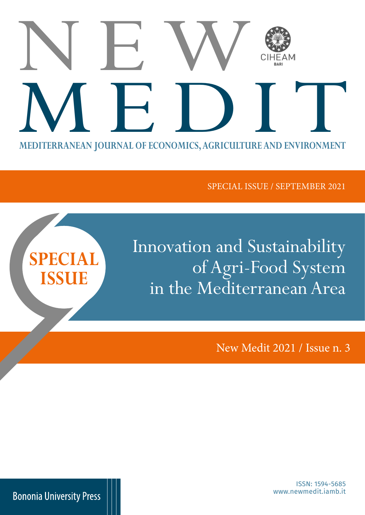# **MEDITERRANEAN JOURNAL OF ECONOMICS, AGRICULTURE AND ENVIRONMENT** NEW MEDITERRANEAN JOURNAL OF ECONOMICS, AGRICULTURE AND ENVIRONMENT

SPECIAL ISSUE / SEPTEMBER 2021

Innovation and Sustainability of Agri-Food System in the Mediterranean Area

New Medit 2021 / Issue n. 3

www.newmedit.iamb.it ISSN: 1594-5685

**Bononia University Press** 

**SPECIAL** 

**ISSUE**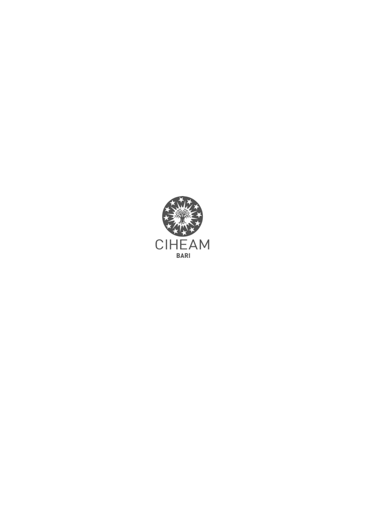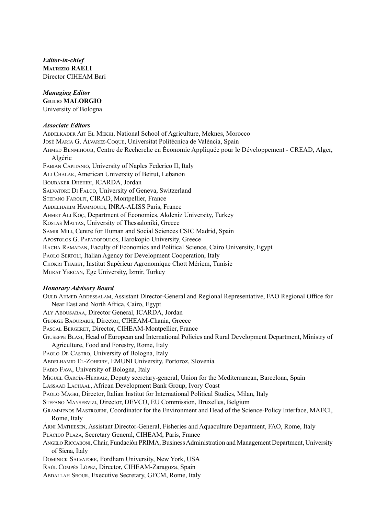*Editor-in-chief* **Maurizio RAELI** Director CIHEAM Bari

#### *Managing Editor* **Giulio MALORGIO** University of Bologna

#### *Associate Editors*

Abdelkader Ait El Mekki, National School of Agriculture, Meknes, Morocco José Maria G. Álvarez-Coque, Universitat Politècnica de València, Spain Ahmed Benmihoub, Centre de Recherche en Économie Appliquée pour le Développement - CREAD, Alger, Algérie Fabian Capitanio, University of Naples Federico II, Italy Ali Chalak, American University of Beirut, Lebanon Boubaker Dhehibi, ICARDA, Jordan Salvatore Di Falco, University of Geneva, Switzerland STEFANO FAROLFI, CIRAD, Montpellier, France Abdelhakim Hammoudi, INRA-ALISS Paris, France Ahmet Ali Koç, Department of Economics, Akdeniz University, Turkey Kostas Mattas, University of Thessaloniki, Greece Samir Mili, Centre for Human and Social Sciences CSIC Madrid, Spain Apostolos G. Papadopoulos, Harokopio University, Greece Racha Ramadan, Faculty of Economics and Political Science, Cairo University, Egypt PAOLO SERTOLI, Italian Agency for Development Cooperation, Italy Chokri Thabet, Institut Supérieur Agronomique Chott Mériem, Tunisie Murat Yercan, Ege University, Izmir, Turkey

#### *Honorary Advisory Board*

Ould Ahmed Abdessalam, Assistant Director-General and Regional Representative, FAO Regional Office for Near East and North Africa, Cairo, Egypt Aly Abousabaa, Director General, ICARDA, Jordan George Baourakis, Director, CIHEAM-Chania, Greece PASCAL BERGERET, Director, CIHEAM-Montpellier, France Giuseppe Blasi, Head of European and International Policies and Rural Development Department, Ministry of Agriculture, Food and Forestry, Rome, Italy Paolo De Castro, University of Bologna, Italy Abdelhamid El-Zoheiry, EMUNI University, Portoroz, Slovenia Fabio Fava, University of Bologna, Italy Miguel García-Herraiz, Deputy secretary-general, Union for the Mediterranean, Barcelona, Spain Lassaad Lachaal, African Development Bank Group, Ivory Coast Paolo Magri, Director, Italian Institut for International Political Studies, Milan, Italy Stefano Manservizi, Director, DEVCO, EU Commission, Bruxelles, Belgium Grammenos Mastrojeni, Coordinator for the Environment and Head of the Science-Policy Interface, MAECI, Rome, Italy Árni Mathiesen, Assistant Director-General, Fisheries and Aquaculture Department, FAO, Rome, Italy PLÀCIDO PLAZA, Secretary General, CIHEAM, Paris, France Angelo Riccaboni, Chair, Fundación PRIMA, Business Administration and Management Department, University of Siena, Italy Dominick Salvatore, Fordham University, New York, USA Raúl Compés López, Director, CIHEAM-Zaragoza, Spain Abdallah Srour, Executive Secretary, GFCM, Rome, Italy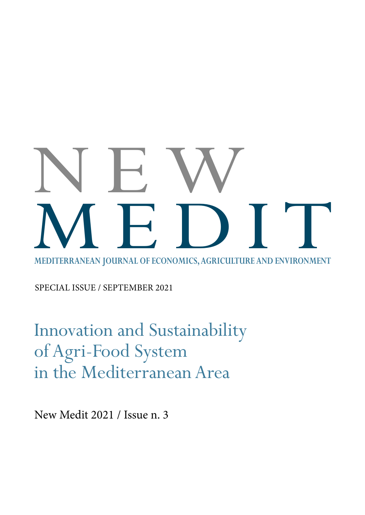## **MEDITERRANEAN JOURNAL OF ECONOMICS, AGRICULTURE AND ENVIRONMENT** NEW MEDITERRANEAN JOURNAL OF ECONOMICS, AGRICULTURE AND ENVIRONMENT

SPECIAL ISSUE / SEPTEMBER 2021

Innovation and Sustainability of Agri-Food System in the Mediterranean Area

New Medit 2021 / Issue n. 3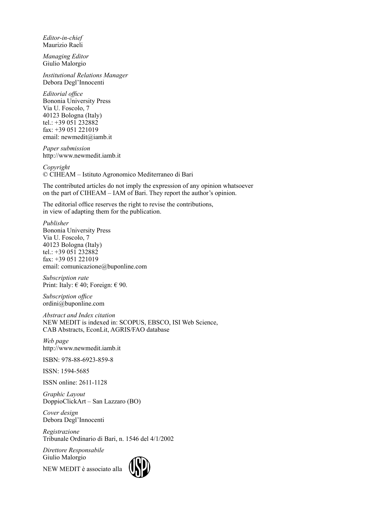*Editor-in-chief* Maurizio Raeli

*Managing Editor* Giulio Malorgio

*Institutional Relations Manager* Debora Degl'Innocenti

*Editorial office* Bononia University Press Via U. Foscolo, 7 40123 Bologna (Italy) tel.: +39 051 232882 fax: +39 051 221019 email: [newmedit@iamb.it](mailto:newmedit@iamb.it)

*Paper submission* <http://www.newmedit.iamb.it>

*Copyright* © CIHEAM – Istituto Agronomico Mediterraneo di Bari

The contributed articles do not imply the expression of any opinion whatsoever on the part of CIHEAM – IAM of Bari. They report the author's opinion.

The editorial office reserves the right to revise the contributions, in view of adapting them for the publication.

*Publisher* Bononia University Press Via U. Foscolo, 7 40123 Bologna (Italy) tel.: +39 051 232882 fax: +39 051 221019 email: [comunicazione@buponline.com](mailto:comunicazione@buponline.com)

*Subscription rate* Print: Italy:  $\in$  40; Foreign:  $\in$  90.

*Subscription office* [ordini@buponline.com](mailto:ordini@buponline.com)

*Abstract and Index citation* NEW MEDIT is indexed in: SCOPUS, EBSCO, ISI Web Science, CAB Abstracts, EconLit, AGRIS/FAO database

*Web page* <http://www.newmedit.iamb.it>

ISBN: 978-88-6923-859-8

ISSN: 1594-5685

ISSN online: 2611-1128

*Graphic Layout* DoppioClickArt – San Lazzaro (BO)

*Cover design* Debora Degl'Innocenti

*Registrazione* Tribunale Ordinario di Bari, n. 1546 del 4/1/2002

*Direttore Responsabile* Giulio Malorgio

NEW MEDIT è associato alla

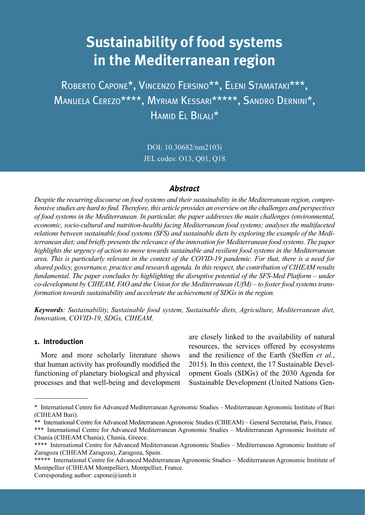### **Sustainability of food systems in the Mediterranean region**

Roberto Capone\*, Vincenzo Fersino\*\*, Eleni Stamataki\*\*\*, Manuela Cerezo\*\*\*\*, Myriam Kessari\*\*\*\*\*, Sandro Dernini\*, Hamid El Bilali\*

> DOI: 10.30682/nm2103i JEL codes: O13, Q01, Q18

#### *Abstract*

*Despite the recurring discourse on food systems and their sustainability in the Mediterranean region, comprehensive studies are hard to find. Therefore, this article provides an overview on the challenges and perspectives of food systems in the Mediterranean. In particular, the paper addresses the main challenges (environmental, economic, socio-cultural and nutrition-health) facing Mediterranean food systems; analyses the multifaceted relations between sustainable food systems (SFS) and sustainable diets by exploring the example of the Mediterranean diet; and briefly presents the relevance of the innovation for Mediterranean food systems. The paper highlights the urgency of action to move towards sustainable and resilient food systems in the Mediterranean area. This is particularly relevant in the context of the COVID-19 pandemic. For that, there is a need for shared policy, governance, practice and research agenda. In this respect, the contribution of CIHEAM results fundamental. The paper concludes by highlighting the disruptive potential of the SFS-Med Platform – under co-development by CIHEAM, FAO and the Union for the Mediterranean (UfM) – to foster food systems transformation towards sustainability and accelerate the achievement of SDGs in the region.* 

*Keywords: Sustainability, Sustainable food system, Sustainable diets, Agriculture, Mediterranean diet, Innovation, COVID-19, SDGs, CIHEAM.*

#### **1. Introduction**

More and more scholarly literature shows that human activity has profoundly modified the functioning of planetary biological and physical processes and that well-being and development are closely linked to the availability of natural resources, the services offered by ecosystems and the resilience of the Earth (Steffen *et al.*, 2015). In this context, the 17 Sustainable Development Goals (SDGs) of the 2030 Agenda for Sustainable Development (United Nations Gen-

<sup>\*</sup> International Centre for Advanced Mediterranean Agronomic Studies – Mediterranean Agronomic Institute of Bari (CIHEAM Bari).

<sup>\*\*</sup> International Centre for Advanced Mediterranean Agronomic Studies (CIHEAM) – General Secretariat, Paris, France.

<sup>\*\*\*</sup> International Centre for Advanced Mediterranean Agronomic Studies – Mediterranean Agronomic Institute of Chania (CIHEAM Chania), Chania, Greece.

<sup>\*\*\*\*</sup> International Centre for Advanced Mediterranean Agronomic Studies – Mediterranean Agronomic Institute of Zaragoza (CIHEAM Zaragoza), Zaragoza, Spain.

<sup>\*\*\*\*\*</sup> International Centre for Advanced Mediterranean Agronomic Studies – Mediterranean Agronomic Institute of Montpellier (CIHEAM Montpellier), Montpellier, France.

Corresponding author: [capone@iamb.it](mailto:capone@iamb.it)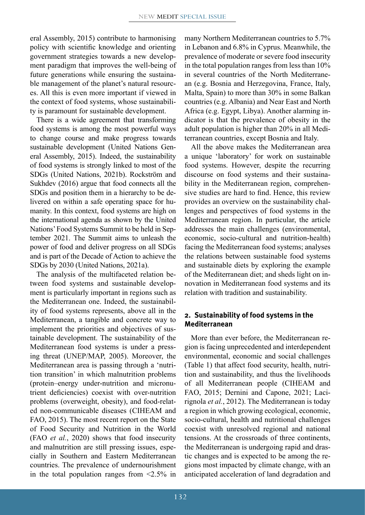eral Assembly, 2015) contribute to harmonising policy with scientific knowledge and orienting government strategies towards a new development paradigm that improves the well-being of future generations while ensuring the sustainable management of the planet's natural resources. All this is even more important if viewed in the context of food systems, whose sustainability is paramount for sustainable development.

There is a wide agreement that transforming food systems is among the most powerful ways to change course and make progress towards sustainable development (United Nations General Assembly, 2015). Indeed, the sustainability of food systems is strongly linked to most of the SDGs (United Nations, 2021b). Rockström and Sukhdev (2016) argue that food connects all the SDGs and position them in a hierarchy to be delivered on within a safe operating space for humanity. In this context, food systems are high on the international agenda as shown by the United Nations' Food Systems Summit to be held in September 2021. The Summit aims to unleash the power of food and deliver progress on all SDGs and is part of the Decade of Action to achieve the SDGs by 2030 (United Nations, 2021a).

The analysis of the multifaceted relation between food systems and sustainable development is particularly important in regions such as the Mediterranean one. Indeed, the sustainability of food systems represents, above all in the Mediterranean, a tangible and concrete way to implement the priorities and objectives of sustainable development. The sustainability of the Mediterranean food systems is under a pressing threat (UNEP/MAP, 2005). Moreover, the Mediterranean area is passing through a 'nutrition transition' in which malnutrition problems (protein–energy under-nutrition and micronutrient deficiencies) coexist with over-nutrition problems (overweight, obesity), and food-related non-communicable diseases (CIHEAM and FAO, 2015). The most recent report on the State of Food Security and Nutrition in the World (FAO *et al.*, 2020) shows that food insecurity and malnutrition are still pressing issues, especially in Southern and Eastern Mediterranean countries. The prevalence of undernourishment in the total population ranges from  $\leq 2.5\%$  in many Northern Mediterranean countries to 5.7% in Lebanon and 6.8% in Cyprus. Meanwhile, the prevalence of moderate or severe food insecurity in the total population ranges from less than 10% in several countries of the North Mediterranean (e.g. Bosnia and Herzegovina, France, Italy, Malta, Spain) to more than 30% in some Balkan countries (e.g. Albania) and Near East and North Africa (e.g. Egypt, Libya). Another alarming indicator is that the prevalence of obesity in the adult population is higher than 20% in all Mediterranean countries, except Bosnia and Italy.

All the above makes the Mediterranean area a unique 'laboratory' for work on sustainable food systems. However, despite the recurring discourse on food systems and their sustainability in the Mediterranean region, comprehensive studies are hard to find. Hence, this review provides an overview on the sustainability challenges and perspectives of food systems in the Mediterranean region. In particular, the article addresses the main challenges (environmental, economic, socio-cultural and nutrition-health) facing the Mediterranean food systems; analyses the relations between sustainable food systems and sustainable diets by exploring the example of the Mediterranean diet; and sheds light on innovation in Mediterranean food systems and its relation with tradition and sustainability.

#### **2. Sustainability of food systems in the Mediterranean**

More than ever before, the Mediterranean region is facing unprecedented and interdependent environmental, economic and social challenges (Table 1) that affect food security, health, nutrition and sustainability, and thus the livelihoods of all Mediterranean people (CIHEAM and FAO, 2015; Dernini and Capone, 2021; Lacirignola *et al.*, 2012). The Mediterranean is today a region in which growing ecological, economic, socio-cultural, health and nutritional challenges coexist with unresolved regional and national tensions. At the crossroads of three continents, the Mediterranean is undergoing rapid and drastic changes and is expected to be among the regions most impacted by climate change, with an anticipated acceleration of land degradation and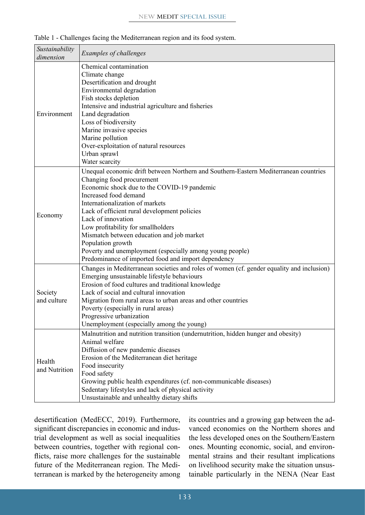| Sustainability<br>dimension | Examples of challenges                                                                                                                                                                                                                                                                                                                                                                                                                                                                                                        |  |
|-----------------------------|-------------------------------------------------------------------------------------------------------------------------------------------------------------------------------------------------------------------------------------------------------------------------------------------------------------------------------------------------------------------------------------------------------------------------------------------------------------------------------------------------------------------------------|--|
| Environment                 | Chemical contamination<br>Climate change<br>Desertification and drought<br>Environmental degradation<br>Fish stocks depletion<br>Intensive and industrial agriculture and fisheries<br>Land degradation<br>Loss of biodiversity<br>Marine invasive species<br>Marine pollution<br>Over-exploitation of natural resources<br>Urban sprawl<br>Water scarcity                                                                                                                                                                    |  |
| Economy                     | Unequal economic drift between Northern and Southern-Eastern Mediterranean countries<br>Changing food procurement<br>Economic shock due to the COVID-19 pandemic<br>Increased food demand<br>Internationalization of markets<br>Lack of efficient rural development policies<br>Lack of innovation<br>Low profitability for smallholders<br>Mismatch between education and job market<br>Population growth<br>Poverty and unemployment (especially among young people)<br>Predominance of imported food and import dependency |  |
| Society<br>and culture      | Changes in Mediterranean societies and roles of women (cf. gender equality and inclusion)<br>Emerging unsustainable lifestyle behaviours<br>Erosion of food cultures and traditional knowledge<br>Lack of social and cultural innovation<br>Migration from rural areas to urban areas and other countries<br>Poverty (especially in rural areas)<br>Progressive urbanization<br>Unemployment (especially among the young)                                                                                                     |  |
| Health<br>and Nutrition     | Malnutrition and nutrition transition (undernutrition, hidden hunger and obesity)<br>Animal welfare<br>Diffusion of new pandemic diseases<br>Erosion of the Mediterranean diet heritage<br>Food insecurity<br>Food safety<br>Growing public health expenditures (cf. non-communicable diseases)<br>Sedentary lifestyles and lack of physical activity<br>Unsustainable and unhealthy dietary shifts                                                                                                                           |  |

Table 1 - Challenges facing the Mediterranean region and its food system.

desertification (MedECC, 2019). Furthermore, significant discrepancies in economic and industrial development as well as social inequalities between countries, together with regional conflicts, raise more challenges for the sustainable future of the Mediterranean region. The Mediterranean is marked by the heterogeneity among its countries and a growing gap between the advanced economies on the Northern shores and the less developed ones on the Southern/Eastern ones. Mounting economic, social, and environmental strains and their resultant implications on livelihood security make the situation unsustainable particularly in the NENA (Near East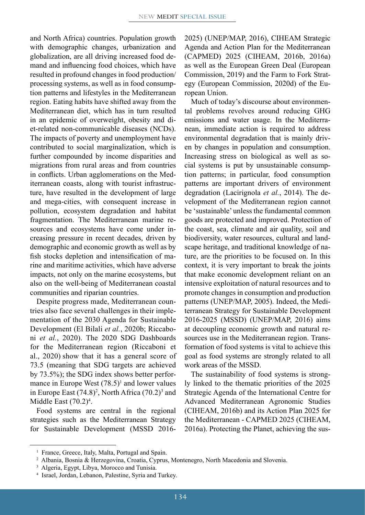and North Africa) countries. Population growth with demographic changes, urbanization and globalization, are all driving increased food demand and influencing food choices, which have resulted in profound changes in food production/ processing systems, as well as in food consumption patterns and lifestyles in the Mediterranean region. Eating habits have shifted away from the Mediterranean diet, which has in turn resulted in an epidemic of overweight, obesity and diet-related non-communicable diseases (NCDs). The impacts of poverty and unemployment have contributed to social marginalization, which is further compounded by income disparities and migrations from rural areas and from countries in conflicts. Urban agglomerations on the Mediterranean coasts, along with tourist infrastructure, have resulted in the development of large and mega-cities, with consequent increase in pollution, ecosystem degradation and habitat fragmentation. The Mediterranean marine resources and ecosystems have come under increasing pressure in recent decades, driven by demographic and economic growth as well as by fish stocks depletion and intensification of marine and maritime activities, which have adverse impacts, not only on the marine ecosystems, but also on the well-being of Mediterranean coastal communities and riparian countries.

Despite progress made, Mediterranean countries also face several challenges in their implementation of the 2030 Agenda for Sustainable Development (El Bilali *et al.*, 2020b; Riccaboni *et al.*, 2020). The 2020 SDG Dashboards for the Mediterranean region (Riccaboni et al., 2020) show that it has a general score of 73.5 (meaning that SDG targets are achieved by 73.5%); the SDG index shows better performance in Europe West  $(78.5)^1$  and lower values in Europe East  $(74.8)^2$ , North Africa  $(70.2)^3$  and Middle East (70.2)<sup>4</sup>.

Food systems are central in the regional strategies such as the Mediterranean Strategy for Sustainable Development (MSSD 20162025) (UNEP/MAP, 2016), CIHEAM Strategic Agenda and Action Plan for the Mediterranean (CAPMED) 2025 (CIHEAM, 2016b, 2016a) as well as the European Green Deal (European Commission, 2019) and the Farm to Fork Strategy (European Commission, 2020d) of the European Union.

Much of today's discourse about environmental problems revolves around reducing GHG emissions and water usage. In the Mediterranean, immediate action is required to address environmental degradation that is mainly driven by changes in population and consumption. Increasing stress on biological as well as social systems is put by unsustainable consumption patterns; in particular, food consumption patterns are important drivers of environment degradation (Lacirignola *et al.*, 2014). The development of the Mediterranean region cannot be 'sustainable' unless the fundamental common goods are protected and improved. Protection of the coast, sea, climate and air quality, soil and biodiversity, water resources, cultural and landscape heritage, and traditional knowledge of nature, are the priorities to be focused on. In this context, it is very important to break the joints that make economic development reliant on an intensive exploitation of natural resources and to promote changes in consumption and production patterns (UNEP/MAP, 2005). Indeed, the Mediterranean Strategy for Sustainable Development 2016-2025 (MSSD) (UNEP/MAP, 2016) aims at decoupling economic growth and natural resources use in the Mediterranean region. Transformation of food systems is vital to achieve this goal as food systems are strongly related to all work areas of the MSSD.

The sustainability of food systems is strongly linked to the thematic priorities of the 2025 Strategic Agenda of the International Centre for Advanced Mediterranean Agronomic Studies (CIHEAM, 2016b) and its Action Plan 2025 for the Mediterranean - CAPMED 2025 (CIHEAM, 2016a). Protecting the Planet, achieving the sus-

<sup>&</sup>lt;sup>1</sup> France, Greece, Italy, Malta, Portugal and Spain.

<sup>2</sup> Albania, Bosnia & Herzegovina, Croatia, Cyprus, Montenegro, North Macedonia and Slovenia.

<sup>&</sup>lt;sup>3</sup> Algeria, Egypt, Libya, Morocco and Tunisia.

<sup>4</sup> Israel, Jordan, Lebanon, Palestine, Syria and Turkey.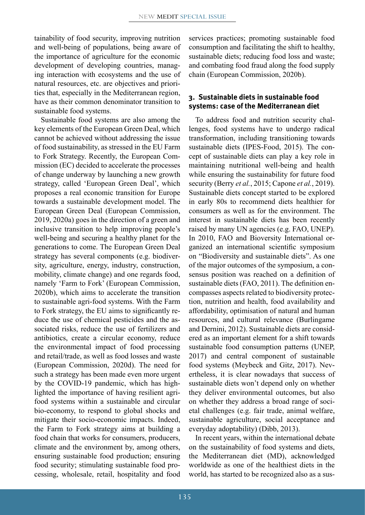tainability of food security, improving nutrition and well-being of populations, being aware of the importance of agriculture for the economic development of developing countries, managing interaction with ecosystems and the use of natural resources, etc. are objectives and priorities that, especially in the Mediterranean region, have as their common denominator transition to sustainable food systems.

Sustainable food systems are also among the key elements of the European Green Deal, which cannot be achieved without addressing the issue of food sustainability, as stressed in the EU Farm to Fork Strategy. Recently, the European Commission (EC) decided to accelerate the processes of change underway by launching a new growth strategy, called 'European Green Deal', which proposes a real economic transition for Europe towards a sustainable development model. The European Green Deal (European Commission, 2019, 2020a) goes in the direction of a green and inclusive transition to help improving people's well-being and securing a healthy planet for the generations to come. The European Green Deal strategy has several components (e.g. biodiversity, agriculture, energy, industry, construction, mobility, climate change) and one regards food, namely 'Farm to Fork' (European Commission, 2020b), which aims to accelerate the transition to sustainable agri-food systems. With the Farm to Fork strategy, the EU aims to significantly reduce the use of chemical pesticides and the associated risks, reduce the use of fertilizers and antibiotics, create a circular economy, reduce the environmental impact of food processing and retail/trade, as well as food losses and waste (European Commission, 2020d). The need for such a strategy has been made even more urgent by the COVID-19 pandemic, which has highlighted the importance of having resilient agrifood systems within a sustainable and circular bio-economy, to respond to global shocks and mitigate their socio-economic impacts. Indeed, the Farm to Fork strategy aims at building a food chain that works for consumers, producers, climate and the environment by, among others, ensuring sustainable food production; ensuring food security; stimulating sustainable food processing, wholesale, retail, hospitality and food services practices; promoting sustainable food consumption and facilitating the shift to healthy, sustainable diets; reducing food loss and waste; and combating food fraud along the food supply chain (European Commission, 2020b).

#### **3. Sustainable diets in sustainable food systems: case of the Mediterranean diet**

To address food and nutrition security challenges, food systems have to undergo radical transformation, including transitioning towards sustainable diets (IPES-Food, 2015). The concept of sustainable diets can play a key role in maintaining nutritional well-being and health while ensuring the sustainability for future food security (Berry *et al.*, 2015; Capone *et al.*, 2019). Sustainable diets concept started to be explored in early 80s to recommend diets healthier for consumers as well as for the environment. The interest in sustainable diets has been recently raised by many UN agencies (e.g. FAO, UNEP). In 2010, FAO and Bioversity International organized an international scientific symposium on "Biodiversity and sustainable diets". As one of the major outcomes of the symposium, a consensus position was reached on a definition of sustainable diets (FAO, 2011). The definition encompasses aspects related to biodiversity protection, nutrition and health, food availability and affordability, optimisation of natural and human resources, and cultural relevance (Burlingame and Dernini, 2012). Sustainable diets are considered as an important element for a shift towards sustainable food consumption patterns (UNEP, 2017) and central component of sustainable food systems (Meybeck and Gitz, 2017). Nevertheless, it is clear nowadays that success of sustainable diets won't depend only on whether they deliver environmental outcomes, but also on whether they address a broad range of societal challenges (e.g. fair trade, animal welfare, sustainable agriculture, social acceptance and everyday adoptability) (Dibb, 2013).

In recent years, within the international debate on the sustainability of food systems and diets, the Mediterranean diet (MD), acknowledged worldwide as one of the healthiest diets in the world, has started to be recognized also as a sus-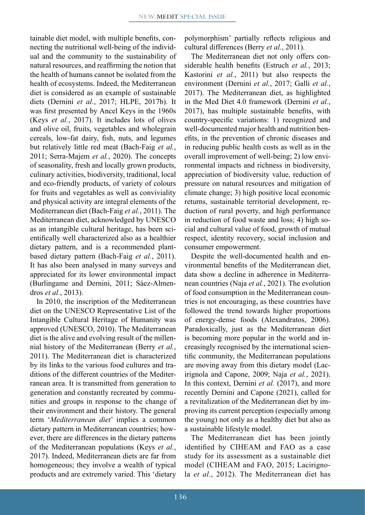tainable diet model, with multiple benefits, connecting the nutritional well-being of the individual and the community to the sustainability of natural resources, and reaffirming the notion that the health of humans cannot be isolated from the health of ecosystems. Indeed, the Mediterranean diet is considered as an example of sustainable diets (Dernini *et al.*, 2017; HLPE, 2017b). It was first presented by Ancel Keys in the 1960s (Keys *et al.*, 2017). It includes lots of olives and olive oil, fruits, vegetables and wholegrain cereals, low-fat dairy, fish, nuts, and legumes but relatively little red meat (Bach-Faig *et al.*, 2011; Serra-Majem *et al.*, 2020). The concepts of seasonality, fresh and locally grown products, culinary activities, biodiversity, traditional, local and eco-friendly products, of variety of colours for fruits and vegetables as well as conviviality and physical activity are integral elements of the Mediterranean diet (Bach-Faig *et al.*, 2011). The Mediterranean diet, acknowledged by UNESCO as an intangible cultural heritage, has been scientifically well characterized also as a healthier dietary pattern, and is a recommended plantbased dietary pattern (Bach-Faig *et al.*, 2011). It has also been analysed in many surveys and appreciated for its lower environmental impact (Burlingame and Dernini, 2011; Sáez-Almendros *et al.*, 2013).

In 2010, the inscription of the Mediterranean diet on the UNESCO Representative List of the Intangible Cultural Heritage of Humanity was approved (UNESCO, 2010). The Mediterranean diet is the alive and evolving result of the millennial history of the Mediterranean (Berry *et al.*, 2011). The Mediterranean diet is characterized by its links to the various food cultures and traditions of the different countries of the Mediterranean area. It is transmitted from generation to generation and constantly recreated by communities and groups in response to the change of their environment and their history. The general term '*Mediterranean diet*' implies a common dietary pattern in Mediterranean countries; however, there are differences in the dietary patterns of the Mediterranean populations (Keys *et al.*, 2017). Indeed, Mediterranean diets are far from homogeneous; they involve a wealth of typical products and are extremely varied. This 'dietary polymorphism' partially reflects religious and cultural differences (Berry *et al.*, 2011).

The Mediterranean diet not only offers considerable health benefits (Estruch *et al.*, 2013; Kastorini *et al.*, 2011) but also respects the environment (Dernini *et al.*, 2017; Galli *et al.*, 2017). The Mediterranean diet, as highlighted in the Med Diet 4.0 framework (Dernini *et al.*, 2017), has multiple sustainable benefits, with country-specific variations: 1) recognized and well-documented major health and nutrition benefits, in the prevention of chronic diseases and in reducing public health costs as well as in the overall improvement of well-being; 2) low environmental impacts and richness in biodiversity, appreciation of biodiversity value, reduction of pressure on natural resources and mitigation of climate change; 3) high positive local economic returns, sustainable territorial development, reduction of rural poverty, and high performance in reduction of food waste and loss; 4) high social and cultural value of food, growth of mutual respect, identity recovery, social inclusion and consumer empowerment.

Despite the well-documented health and environmental benefits of the Mediterranean diet, data show a decline in adherence in Mediterranean countries (Naja *et al.*, 2021). The evolution of food consumption in the Mediterranean countries is not encouraging, as these countries have followed the trend towards higher proportions of energy-dense foods (Alexandratos, 2006). Paradoxically, just as the Mediterranean diet is becoming more popular in the world and increasingly recognised by the international scientific community, the Mediterranean populations are moving away from this dietary model (Lacirignola and Capone, 2009; Naja *et al.*, 2021). In this context, Dernini *et al.* (2017), and more recently Dernini and Capone (2021), called for a revitalization of the Mediterranean diet by improving its current perception (especially among the young) not only as a healthy diet but also as a sustainable lifestyle model.

The Mediterranean diet has been jointly identified by CIHEAM and FAO as a case study for its assessment as a sustainable diet model (CIHEAM and FAO, 2015; Lacirignola *et al.*, 2012). The Mediterranean diet has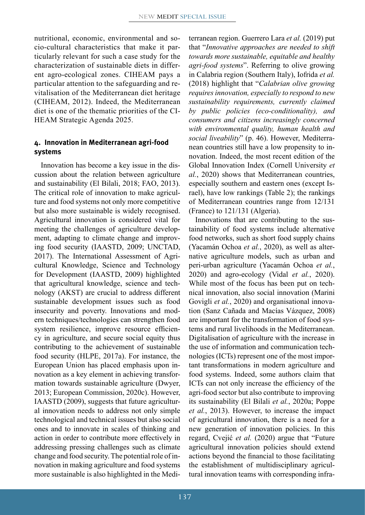nutritional, economic, environmental and socio-cultural characteristics that make it particularly relevant for such a case study for the characterization of sustainable diets in different agro-ecological zones. CIHEAM pays a particular attention to the safeguarding and revitalisation of the Mediterranean diet heritage (CIHEAM, 2012). Indeed, the Mediterranean diet is one of the thematic priorities of the CI-HEAM Strategic Agenda 2025.

#### **4. Innovation in Mediterranean agri-food systems**

Innovation has become a key issue in the discussion about the relation between agriculture and sustainability (El Bilali, 2018; FAO, 2013). The critical role of innovation to make agriculture and food systems not only more competitive but also more sustainable is widely recognised. Agricultural innovation is considered vital for meeting the challenges of agriculture development, adapting to climate change and improving food security (IAASTD, 2009; UNCTAD, 2017). The International Assessment of Agricultural Knowledge, Science and Technology for Development (IAASTD, 2009) highlighted that agricultural knowledge, science and technology (AKST) are crucial to address different sustainable development issues such as food insecurity and poverty. Innovations and modern techniques/technologies can strengthen food system resilience, improve resource efficiency in agriculture, and secure social equity thus contributing to the achievement of sustainable food security (HLPE, 2017a). For instance, the European Union has placed emphasis upon innovation as a key element in achieving transformation towards sustainable agriculture (Dwyer, 2013; European Commission, 2020c). However, IAASTD (2009), suggests that future agricultural innovation needs to address not only simple technological and technical issues but also social ones and to innovate in scales of thinking and action in order to contribute more effectively in addressing pressing challenges such as climate change and food security. The potential role of innovation in making agriculture and food systems more sustainable is also highlighted in the Mediterranean region. Guerrero Lara *et al.* (2019) put that "*Innovative approaches are needed to shift towards more sustainable, equitable and healthy agri-food systems*". Referring to olive growing in Calabria region (Southern Italy), Iofrida *et al.* (2018) highlight that "*Calabrian olive growing requires innovation, especially to respond to new sustainability requirements, currently claimed by public policies (eco-conditionality), and consumers and citizens increasingly concerned with environmental quality, human health and social liveability*" (p. 46). However, Mediterranean countries still have a low propensity to innovation. Indeed, the most recent edition of the Global Innovation Index (Cornell University *et al.*, 2020) shows that Mediterranean countries, especially southern and eastern ones (except Israel), have low rankings (Table 2); the rankings of Mediterranean countries range from 12/131 (France) to 121/131 (Algeria).

Innovations that are contributing to the sustainability of food systems include alternative food networks, such as short food supply chains (Yacamán Ochoa *et al.*, 2020), as well as alternative agriculture models, such as urban and peri-urban agriculture (Yacamán Ochoa *et al.*, 2020) and agro-ecology (Vidal *et al.*, 2020). While most of the focus has been put on technical innovation, also social innovation (Marini Govigli *et al.*, 2020) and organisational innovation (Sanz Cañada and Macías Vázquez, 2008) are important for the transformation of food systems and rural livelihoods in the Mediterranean. Digitalisation of agriculture with the increase in the use of information and communication technologies (ICTs) represent one of the most important transformations in modern agriculture and food systems. Indeed, some authors claim that ICTs can not only increase the efficiency of the agri-food sector but also contribute to improving its sustainability (El Bilali *et al.*, 2020a; Poppe *et al.*, 2013). However, to increase the impact of agricultural innovation, there is a need for a new generation of innovation policies. In this regard, Cvejić *et al.* (2020) argue that "Future agricultural innovation policies should extend actions beyond the financial to those facilitating the establishment of multidisciplinary agricultural innovation teams with corresponding infra-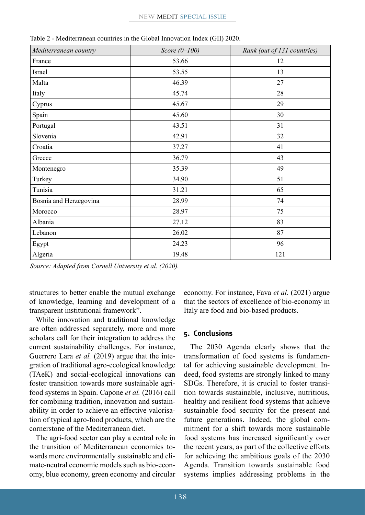| Mediterranean country  | Score $(0-100)$ | Rank (out of 131 countries) |
|------------------------|-----------------|-----------------------------|
| France                 | 53.66           | 12                          |
| Israel                 | 53.55           | 13                          |
| Malta                  | 46.39           | 27                          |
| Italy                  | 45.74           | 28                          |
| Cyprus                 | 45.67           | 29                          |
| Spain                  | 45.60           | 30                          |
| Portugal               | 43.51           | 31                          |
| Slovenia               | 42.91           | 32                          |
| Croatia                | 37.27           | 41                          |
| Greece                 | 36.79           | 43                          |
| Montenegro             | 35.39           | 49                          |
| Turkey                 | 34.90           | 51                          |
| Tunisia                | 31.21           | 65                          |
| Bosnia and Herzegovina | 28.99           | 74                          |
| Morocco                | 28.97           | 75                          |
| Albania                | 27.12           | 83                          |
| Lebanon                | 26.02           | 87                          |
| Egypt                  | 24.23           | 96                          |
| Algeria                | 19.48           | 121                         |

Table 2 - Mediterranean countries in the Global Innovation Index (GII) 2020.

*Source: Adapted from Cornell University et al. (2020).*

structures to better enable the mutual exchange of knowledge, learning and development of a transparent institutional framework".

While innovation and traditional knowledge are often addressed separately, more and more scholars call for their integration to address the current sustainability challenges. For instance, Guerrero Lara *et al.* (2019) argue that the integration of traditional agro-ecological knowledge (TAeK) and social-ecological innovations can foster transition towards more sustainable agrifood systems in Spain. Capone *et al.* (2016) call for combining tradition, innovation and sustainability in order to achieve an effective valorisation of typical agro-food products, which are the cornerstone of the Mediterranean diet.

The agri-food sector can play a central role in the transition of Mediterranean economics towards more environmentally sustainable and climate-neutral economic models such as bio-economy, blue economy, green economy and circular economy. For instance, Fava *et al.* (2021) argue that the sectors of excellence of bio-economy in Italy are food and bio-based products.

#### **5. Conclusions**

The 2030 Agenda clearly shows that the transformation of food systems is fundamental for achieving sustainable development. Indeed, food systems are strongly linked to many SDGs. Therefore, it is crucial to foster transition towards sustainable, inclusive, nutritious, healthy and resilient food systems that achieve sustainable food security for the present and future generations. Indeed, the global commitment for a shift towards more sustainable food systems has increased significantly over the recent years, as part of the collective efforts for achieving the ambitious goals of the 2030 Agenda. Transition towards sustainable food systems implies addressing problems in the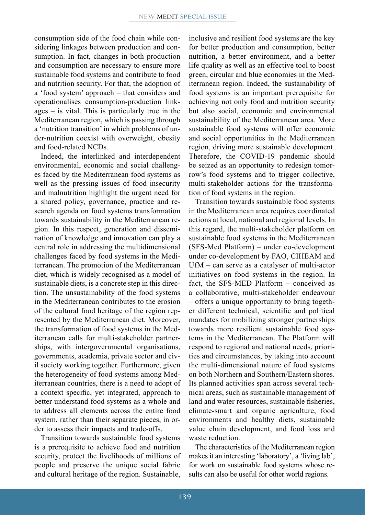consumption side of the food chain while considering linkages between production and consumption. In fact, changes in both production and consumption are necessary to ensure more sustainable food systems and contribute to food and nutrition security. For that, the adoption of a 'food system' approach – that considers and operationalises consumption-production linkages – is vital. This is particularly true in the Mediterranean region, which is passing through a 'nutrition transition' in which problems of under-nutrition coexist with overweight, obesity and food-related NCDs.

Indeed, the interlinked and interdependent environmental, economic and social challenges faced by the Mediterranean food systems as well as the pressing issues of food insecurity and malnutrition highlight the urgent need for a shared policy, governance, practice and research agenda on food systems transformation towards sustainability in the Mediterranean region. In this respect, generation and dissemination of knowledge and innovation can play a central role in addressing the multidimensional challenges faced by food systems in the Mediterranean. The promotion of the Mediterranean diet, which is widely recognised as a model of sustainable diets, is a concrete step in this direction. The unsustainability of the food systems in the Mediterranean contributes to the erosion of the cultural food heritage of the region represented by the Mediterranean diet. Moreover, the transformation of food systems in the Mediterranean calls for multi-stakeholder partnerships, with intergovernmental organisations, governments, academia, private sector and civil society working together. Furthermore, given the heterogeneity of food systems among Mediterranean countries, there is a need to adopt of a context specific, yet integrated, approach to better understand food systems as a whole and to address all elements across the entire food system, rather than their separate pieces, in order to assess their impacts and trade-offs.

Transition towards sustainable food systems is a prerequisite to achieve food and nutrition security, protect the livelihoods of millions of people and preserve the unique social fabric and cultural heritage of the region. Sustainable, inclusive and resilient food systems are the key for better production and consumption, better nutrition, a better environment, and a better life quality as well as an effective tool to boost green, circular and blue economies in the Mediterranean region. Indeed, the sustainability of food systems is an important prerequisite for achieving not only food and nutrition security but also social, economic and environmental sustainability of the Mediterranean area. More sustainable food systems will offer economic and social opportunities in the Mediterranean region, driving more sustainable development. Therefore, the COVID-19 pandemic should be seized as an opportunity to redesign tomorrow's food systems and to trigger collective, multi-stakeholder actions for the transformation of food systems in the region.

Transition towards sustainable food systems in the Mediterranean area requires coordinated actions at local, national and regional levels. In this regard, the multi-stakeholder platform on sustainable food systems in the Mediterranean (SFS-Med Platform) – under co-development under co-development by FAO, CIHEAM and UfM – can serve as a catalyser of multi-actor initiatives on food systems in the region. In fact, the SFS-MED Platform – conceived as a collaborative, multi-stakeholder endeavour – offers a unique opportunity to bring together different technical, scientific and political mandates for mobilizing stronger partnerships towards more resilient sustainable food systems in the Mediterranean. The Platform will respond to regional and national needs, priorities and circumstances, by taking into account the multi-dimensional nature of food systems on both Northern and Southern/Eastern shores. Its planned activities span across several technical areas, such as sustainable management of land and water resources, sustainable fisheries, climate-smart and organic agriculture, food environments and healthy diets, sustainable value chain development, and food loss and waste reduction.

The characteristics of the Mediterranean region makes it an interesting 'laboratory', a 'living lab', for work on sustainable food systems whose results can also be useful for other world regions.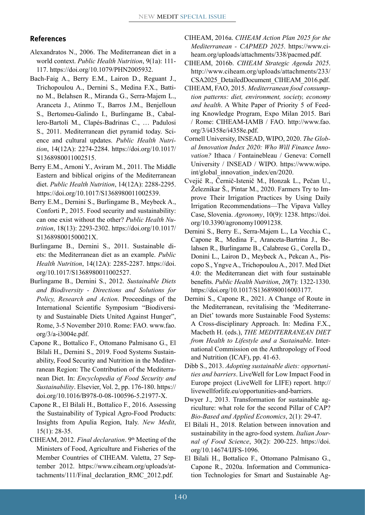#### **References**

- Alexandratos N., 2006. The Mediterranean diet in a world context. *Public Health Nutrition*, 9(1a): 111- 117. <https://doi.org/10.1079/PHN2005932>.
- Bach-Faig A., Berry E.M., Lairon D., Reguant J., Trichopoulou A., Dernini S., Medina F.X., Battino M., Belahsen R., Miranda G., Serra-Majem L., Aranceta J., Atinmo T., Barros J.M., Benjelloun S., Bertomeu-Galindo I., Burlingame B., Caballero-Bartolí M., Clapés-Badrinas C., … Padulosi S., 2011. Mediterranean diet pyramid today. Science and cultural updates. *Public Health Nutrition*, 14(12A): 2274-2284. [https://doi.org/10.1017/](https://doi.org/10.1017/S1368980011002515) [S1368980011002515.](https://doi.org/10.1017/S1368980011002515)
- Berry E.M., Arnoni Y., Aviram M., 2011. The Middle Eastern and biblical origins of the Mediterranean diet. *Public Health Nutrition*, 14(12A): 2288-2295. [https://doi.org/10.1017/S1368980011002539.](https://doi.org/10.1017/S1368980011002539)
- Berry E.M., Dernini S., Burlingame B., Meybeck A., Conforti P., 2015. Food security and sustainability: can one exist without the other? *Public Health Nutrition*, 18(13): 2293-2302. [https://doi.org/10.1017/](https://doi.org/10.1017/S136898001500021X) [S136898001500021X](https://doi.org/10.1017/S136898001500021X).
- Burlingame B., Dernini S., 2011. Sustainable diets: the Mediterranean diet as an example. *Public Health Nutrition*, 14(12A): 2285-2287. [https://doi.](https://doi.org/10.1017/S1368980011002527) [org/10.1017/S1368980011002527.](https://doi.org/10.1017/S1368980011002527)
- Burlingame B., Dernini S., 2012. *Sustainable Diets and Biodiversity - Directions and Solutions for Policy, Research and Action*. Proceedings of the International Scientific Symposium "Biodiversity and Sustainable Diets United Against Hunger", Rome, 3-5 November 2010. Rome: FAO. [www.fao.](http://www.fao.org/3/a-i3004e.pdf) [org/3/a-i3004e.pdf](http://www.fao.org/3/a-i3004e.pdf).
- Capone R., Bottalico F., Ottomano Palmisano G., El Bilali H., Dernini S., 2019. Food Systems Sustainability, Food Security and Nutrition in the Mediterranean Region: The Contribution of the Mediterranean Diet. In: *Encyclopedia of Food Security and Sustainability*. Elsevier, Vol. 2, pp. 176-180. [https://](https://doi.org/10.1016/B978-0-08-100596-5.21977-X) [doi.org/10.1016/B978-0-08-100596-5.21977-X.](https://doi.org/10.1016/B978-0-08-100596-5.21977-X)
- Capone R., El Bilali H., Bottalico F., 2016. Assessing the Sustainability of Typical Agro-Food Products: Insights from Apulia Region, Italy. *New Medit*, 15(1): 28-35.
- CIHEAM, 2012. *Final declaration*. 9th Meeting of the Ministers of Food, Agriculture and Fisheries of the Member Countries of CIHEAM. Valetta, 27 September 2012. [https://www.ciheam.org/uploads/at](https://www.ciheam.org/uploads/attachments/111/Final_declaration_RMC_2012.pdf)[tachments/111/Final\\_declaration\\_RMC\\_2012.pdf.](https://www.ciheam.org/uploads/attachments/111/Final_declaration_RMC_2012.pdf)
- CIHEAM, 2016a. *CIHEAM Action Plan 2025 for the Mediterranean - CAPMED 2025*. [https://www.ci](https://www.ciheam.org/uploads/attachments/338/pacmed.pdf)[heam.org/uploads/attachments/338/pacmed.pdf.](https://www.ciheam.org/uploads/attachments/338/pacmed.pdf)
- CIHEAM, 2016b. *CIHEAM Strategic Agenda 2025*. [http://www.ciheam.org/uploads/attachments/233/](http://www.ciheam.org/uploads/attachments/233/CSA2025_DetailedDocument_CIHEAM_2016.pdf) [CSA2025\\_DetailedDocument\\_CIHEAM\\_2016.pdf](http://www.ciheam.org/uploads/attachments/233/CSA2025_DetailedDocument_CIHEAM_2016.pdf).
- CIHEAM, FAO, 2015. *Mediterranean food consumption patterns: diet, environment, society, economy and health*. A White Paper of Priority 5 of Feeding Knowledge Program, Expo Milan 2015. Bari / Rome: CIHEAM-IAMB / FAO. [http://www.fao.](http://www.fao.org/3/i4358e/i4358e.pdf) [org/3/i4358e/i4358e.pdf](http://www.fao.org/3/i4358e/i4358e.pdf).
- Cornell University, INSEAD, WIPO, 2020. *The Global Innovation Index 2020: Who Will Finance Innovation?* Ithaca / Fontainebleau / Geneva: Cornell University / INSEAD / WIPO. [https://www.wipo.](https://www.wipo.int/global_innovation_index/en/2020) [int/global\\_innovation\\_index/en/2020.](https://www.wipo.int/global_innovation_index/en/2020)
- Cvejić R., Černič-Istenič M., Honzak L., Pečan U., Železnikar Š., Pintar M., 2020. Farmers Try to Improve Their Irrigation Practices by Using Daily Irrigation Recommendations—The Vipava Valley Case, Slovenia. *Agronomy*, 10(9): 1238. [https://doi.](https://doi.org/10.3390/agronomy10091238) [org/10.3390/agronomy10091238.](https://doi.org/10.3390/agronomy10091238)
- Dernini S., Berry E., Serra-Majem L., La Vecchia C., Capone R., Medina F., Aranceta-Bartrina J., Belahsen R., Burlingame B., Calabrese G., Corella D., Donini L., Lairon D., Meybeck A., Pekcan A., Piscopo S., Yngve A., Trichopoulou A., 2017. Med Diet 4.0: the Mediterranean diet with four sustainable benefits. *Public Health Nutrition*, *20*(7): 1322-1330. <https://doi.org/10.1017/S1368980016003177>.
- Dernini S., Capone R., 2021. A Change of Route in the Mediterranean, revitalising the 'Mediterranean Diet' towards more Sustainable Food Systems: A Cross-disciplinary Approach. In: Medina F.X., Macbeth H. (eds.), *THE MEDITERRANEAN DIET from Health to Lifestyle and a Sustainable*. International Commission on the Anthropology of Food and Nutrition (ICAF), pp. 41-63.
- Dibb S., 2013. *Adopting sustainable diets: opportunities and barriers*. LiveWell for Low Impact Food in Europe project (LiveWell for LIFE) report. [http://](http://livewellforlife.eu/opportunities-and-barriers) [livewellforlife.eu/opportunities-and-barriers.](http://livewellforlife.eu/opportunities-and-barriers)
- Dwyer J., 2013. Transformation for sustainable agriculture: what role for the second Pillar of CAP? *Bio-Based and Applied Economics*, 2(1): 29-47.
- El Bilali H., 2018. Relation between innovation and sustainability in the agro-food system. *Italian Journal of Food Science*, 30(2): 200-225. [https://doi.](https://doi.org/10.14674/IJFS-1096) [org/10.14674/IJFS-1096](https://doi.org/10.14674/IJFS-1096).
- El Bilali H., Bottalico F., Ottomano Palmisano G., Capone R., 2020a. Information and Communication Technologies for Smart and Sustainable Ag-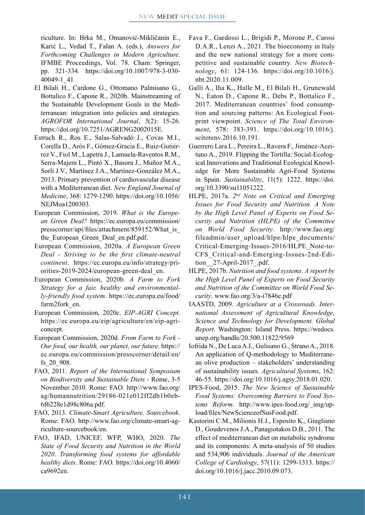riculture. In: Brka M., Omanović-Mikličanin E., Karić L., Vedad T., Falan A. (eds.), *Answers for Forthcoming Challenges in Modern Agriculture*. IFMBE Proceedings, Vol. 78. Cham: Springer, pp. 321-334. [https://doi.org/10.1007/978-3-030-](https://doi.org/10.1007/978-3-030-40049-1_41) [40049-1\\_41](https://doi.org/10.1007/978-3-030-40049-1_41)

- El Bilali H., Cardone G., Ottomano Palmisano G., Bottalico F., Capone R., 2020b. Mainstreaming of the Sustainable Development Goals in the Mediterranean: integration into policies and strategies. *AGROFOR International Journal*, *5*(2): 15-26. <https://doi.org/10.7251/AGRENG2002015E>.
- Estruch R., Ros E., Salas-Salvadó J., Covas M.I., Corella D., Arós F., Gómez-Gracia E., Ruiz-Gutiérrez V., Fiol M., Lapetra J., Lamuela-Raventos R.M., Serra-Majem L., Pintó X., Basora J., Muñoz M.A., Sorlí J.V., Martínez J.A., Martínez-González M.A., 2013. Primary prevention of cardiovascular disease with a Mediterranean diet. *New England Journal of Medicine*, 368: 1279-1290. [https://doi.org/10.1056/](https://doi.org/10.1056/NEJMoa1200303) [NEJMoa1200303](https://doi.org/10.1056/NEJMoa1200303).
- European Commission, 2019. *What is the European Green Deal?* [https://ec.europa.eu/commission/](https://ec.europa.eu/commission/presscorner/api/files/attachment/859152/What_is_the_European_Green_Deal_en.pdf.pdf) [presscorner/api/files/attachment/859152/What\\_is\\_](https://ec.europa.eu/commission/presscorner/api/files/attachment/859152/What_is_the_European_Green_Deal_en.pdf.pdf) the European Green Deal en.pdf.pdf.
- European Commission, 2020a. *A European Green Deal - Striving to be the first climate-neutral continent*. [https://ec.europa.eu/info/strategy/pri](https://ec.europa.eu/info/strategy/priorities-2019-2024/european-green-deal_en)[orities-2019-2024/european-green-deal\\_en.](https://ec.europa.eu/info/strategy/priorities-2019-2024/european-green-deal_en)
- European Commission, 2020b. *A Farm to Fork Strategy for a fair, healthy and environmentally-friendly food system*. [https://ec.europa.eu/food/](https://ec.europa.eu/food/farm2fork_en) [farm2fork\\_en](https://ec.europa.eu/food/farm2fork_en).
- European Commission, 2020c. *EIP-AGRI Concept*. [https://ec.europa.eu/eip/agriculture/en/eip-agri](https://ec.europa.eu/eip/agriculture/en/eip-agri-concept)[concept.](https://ec.europa.eu/eip/agriculture/en/eip-agri-concept)
- European Commission, 2020d. *From Farm to Fork Our food, our health, our planet, our future*. [https://](https://ec.europa.eu/commission/presscorner/detail/en/fs_20_908) [ec.europa.eu/commission/presscorner/detail/en/](https://ec.europa.eu/commission/presscorner/detail/en/fs_20_908) [fs\\_20\\_908.](https://ec.europa.eu/commission/presscorner/detail/en/fs_20_908)
- FAO, 2011. *Report of the International Symposium on Biodiversity and Sustainable Diets -* Rome, 3-5 November 2010. Rome: FAO. [http://www.fao.org/](http://www.fao.org/ag/humannutrition/29186-021e012ff2db1b0eb6f6228e1d98c806a.pdf) [ag/humannutrition/29186-021e012ff2db1b0eb-](http://www.fao.org/ag/humannutrition/29186-021e012ff2db1b0eb6f6228e1d98c806a.pdf)[6f6228e1d98c806a.pdf](http://www.fao.org/ag/humannutrition/29186-021e012ff2db1b0eb6f6228e1d98c806a.pdf).
- FAO, 2013. *Climate-Smart Agriculture. Sourcebook*. Rome: FAO. [http://www.fao.org/climate-smart-ag](http://www.fao.org/climate-smart-agriculture-sourcebook/en)[riculture-sourcebook/en.](http://www.fao.org/climate-smart-agriculture-sourcebook/en)
- FAO, IFAD, UNICEF, WFP, WHO, 2020. *The State of Food Security and Nutrition in the World 2020*. *Transforming food systems for affordable healthy diets*. Rome: FAO. [https://doi.org/10.4060/](https://doi.org/10.4060/ca9692en) [ca9692en](https://doi.org/10.4060/ca9692en).
- Fava F., Gardossi L., Brigidi P., Morone P., Carosi D.A.R., Lenzi A., 2021. The bioeconomy in Italy and the new national strategy for a more competitive and sustainable country. *New Biotechnology*, 61: 124-136. [https://doi.org/10.1016/j.](https://doi.org/10.1016/j.nbt.2020.11.009) [nbt.2020.11.009](https://doi.org/10.1016/j.nbt.2020.11.009).
- Galli A., Iha K., Halle M., El Bilali H., Grunewald N., Eaton D., Capone R., Debs P., Bottalico F., 2017. Mediterranean countries' food consumption and sourcing patterns: An Ecological Footprint viewpoint. *Science of The Total Environment*, 578: 383-391. [https://doi.org/10.1016/j.](https://doi.org/10.1016/j.scitotenv.2016.10.191) [scitotenv.2016.10.191.](https://doi.org/10.1016/j.scitotenv.2016.10.191)
- Guerrero Lara L., Pereira L., Ravera F., Jiménez-Aceituno A., 2019. Flipping the Tortilla: Social-Ecological Innovations and Traditional Ecological Knowledge for More Sustainable Agri-Food Systems in Spain. *Sustainability*, 11(5): 1222. [https://doi.](https://doi.org/10.3390/su11051222) [org/10.3390/su11051222.](https://doi.org/10.3390/su11051222)
- HLPE, 2017a. *2nd Note on Critical and Emerging Issues for Food Security and Nutrition. A Note by the High Level Panel of Experts on Food Security and Nutrition (HLPE) of the Committee on World Food Security*. [http://www.fao.org/](http://www.fao.org/fileadmin/user_upload/hlpe/hlpe_documents/Critical-Emerging-Issues-2016/HLPE_Note-to-CFS_Critical-and-Emerging-Issues-2nd-Edition__27-April-2017_.pdf) [fileadmin/user\\_upload/hlpe/hlpe\\_documents/](http://www.fao.org/fileadmin/user_upload/hlpe/hlpe_documents/Critical-Emerging-Issues-2016/HLPE_Note-to-CFS_Critical-and-Emerging-Issues-2nd-Edition__27-April-2017_.pdf) [Critical-Emerging-Issues-2016/HLPE\\_Note-to-](http://www.fao.org/fileadmin/user_upload/hlpe/hlpe_documents/Critical-Emerging-Issues-2016/HLPE_Note-to-CFS_Critical-and-Emerging-Issues-2nd-Edition__27-April-2017_.pdf)[CFS\\_Critical-and-Emerging-Issues-2nd-Edi](http://www.fao.org/fileadmin/user_upload/hlpe/hlpe_documents/Critical-Emerging-Issues-2016/HLPE_Note-to-CFS_Critical-and-Emerging-Issues-2nd-Edition__27-April-2017_.pdf)tion 27-April-2017 .pdf.
- HLPE, 2017b. *Nutrition and food systems*. *A report by the High Level Panel of Experts on Food Security and Nutrition of the Committee on World Food Security*. [www.fao.org/3/a-i7846e.pdf](http://www.fao.org/3/a-i7846e.pdf)
- IAASTD, 2009. *Agriculture at a Crossroads. International Assessment of Agricultural Knowledge, Science and Technology for Development. Global Report*. Washington: Island Press. [https://wedocs.](https://wedocs.unep.org/handle/20.500.11822/9569) [unep.org/handle/20.500.11822/9569](https://wedocs.unep.org/handle/20.500.11822/9569)
- Iofrida N., De Luca A.I., Gulisano G., Strano A., 2018. An application of Q-methodology to Mediterranean olive production – stakeholders' understanding of sustainability issues. *Agricultural Systems*, 162: 46-55.<https://doi.org/10.1016/j.agsy.2018.01.020>.
- IPES-Food, 2015. *The New Science of Sustainable Food Systems: Overcoming Barriers to Food Systems Reform*. [http://www.ipes-food.org/\\_img/up](http://www.ipes-food.org/_img/upload/files/NewScienceofSusFood.pdf)[load/files/NewScienceofSusFood.pdf](http://www.ipes-food.org/_img/upload/files/NewScienceofSusFood.pdf).
- Kastorini C.M., Milionis H.J., Esposito K., Giugliano D., Goudevenos J.A., Panagiotakos D.B., 2011. The effect of mediterranean diet on metabolic syndrome and its components: A meta-analysis of 50 studies and 534,906 individuals. *Journal of the American College of Cardiology*, 57(11): 1299-1313. [https://](https://doi.org/10.1016/j.jacc.2010.09.073) [doi.org/10.1016/j.jacc.2010.09.073](https://doi.org/10.1016/j.jacc.2010.09.073).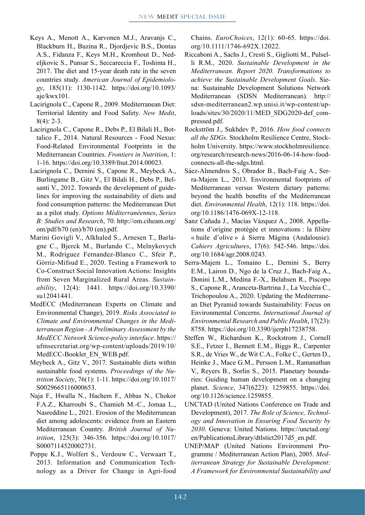- Keys A., Menott A., Karvonen M.J., Aravanjs C., Blackburn H., Buzina R., Djordjevic B.S., Dontas A.S., Fidanza F., Keys M.H., Kromhout D., Nedeljkovic S., Punsar S., Seccareccia F., Toshima H., 2017. The diet and 15-year death rate in the seven countries study. *American Journal of Epidemiology*, 185(11): 1130-1142. [https://doi.org/10.1093/](https://doi.org/10.1093/aje/kwx101) [aje/kwx101](https://doi.org/10.1093/aje/kwx101).
- Lacirignola C., Capone R., 2009. Mediterranean Diet: Territorial Identity and Food Safety. *New Medit*, 8(4): 2-3.
- Lacirignola C., Capone R., Debs P., El Bilali H., Bottalico F., 2014. Natural Resources - Food Nexus: Food-Related Environmental Footprints in the Mediterranean Countries. *Frontiers in Nutrition*, 1: 1-16. [https://doi.org/10.3389/fnut.2014.00023.](https://doi.org/10.3389/fnut.2014.00023)
- Lacirignola C., Dernini S., Capone R., Meybeck A., Burlingame B., Gitz V., El Bilali H., Debs P., Belsanti V., 2012. Towards the development of guidelines for improving the sustainability of diets and food consumption patterns: the Mediterranean Diet as a pilot study. *Options Méditerranéennes*, *Series B: Studies and Research*, 70. [http://om.ciheam.org/](http://om.ciheam.org/om/pdf/b70) [om/pdf/b70](http://om.ciheam.org/om/pdf/b70) (en)/b70 (en).pdf.
- Marini Govigli V., Alkhaled S., Arnesen T., Barlagne C., Bjerck M., Burlando C., Melnykovych M., Rodríguez Fernandez-Blanco C., Sfeir P., Górriz-Mifsud E., 2020. Testing a Framework to Co-Construct Social Innovation Actions: Insights from Seven Marginalized Rural Areas. *Sustainability*, 12(4): 1441. [https://doi.org/10.3390/](https://doi.org/10.3390/su12041441) [su12041441.](https://doi.org/10.3390/su12041441)
- MedECC (Mediterranean Experts on Climate and Environmental Change), 2019. *Risks Associated to Climate and Environmental Changes in the Mediterranean Region - A Preliminary Assessment by the MedECC Network Science-policy interface*. [https://](https://ufmsecretariat.org/wp-content/uploads/2019/10/MedECC-Booklet_EN_WEB.pdf) [ufmsecretariat.org/wp-content/uploads/2019/10/](https://ufmsecretariat.org/wp-content/uploads/2019/10/MedECC-Booklet_EN_WEB.pdf) [MedECC-Booklet\\_EN\\_WEB.pdf.](https://ufmsecretariat.org/wp-content/uploads/2019/10/MedECC-Booklet_EN_WEB.pdf)
- Meybeck A., Gitz V., 2017. Sustainable diets within sustainable food systems. *Proceedings of the Nutrition Society*, 76(1): 1-11. [https://doi.org/10.1017/](https://doi.org/10.1017/S0029665116000653) [S0029665116000653.](https://doi.org/10.1017/S0029665116000653)
- Naja F., Hwalla N., Hachem F., Abbas N., Chokor F.A.Z., Kharroubi S., Chamieh M.-C., Jomaa L., Nasreddine L., 2021. Erosion of the Mediterranean diet among adolescents: evidence from an Eastern Mediterranean Country. *British Journal of Nutrition*, 125(3): 346-356. [https://doi.org/10.1017/](https://doi.org/10.1017/S0007114520002731) [S0007114520002731.](https://doi.org/10.1017/S0007114520002731)
- Poppe K.J., Wolfert S., Verdouw C., Verwaart T., 2013. Information and Communication Technology as a Driver for Change in Agri-food

Chains. *EuroChoices*, 12(1): 60-65. [https://doi.](https://doi.org/10.1111/1746-692X.12022) [org/10.1111/1746-692X.12022.](https://doi.org/10.1111/1746-692X.12022)

- Riccaboni A., Sachs J., Cresti S., Gigliotti M., Pulselli R.M., 2020. *Sustainable Development in the Mediterranean. Report 2020. Transformations to achieve the Sustainable Development Goals*. Siena: Sustainable Development Solutions Network Mediterranean (SDSN Mediterranean). [http://](http://sdsn-mediterranean2.wp.unisi.it/wp-content/uploads/sites/30/2020/11/MED_SDG2020-def_compressed.pdf) [sdsn-mediterranean2.wp.unisi.it/wp-content/up](http://sdsn-mediterranean2.wp.unisi.it/wp-content/uploads/sites/30/2020/11/MED_SDG2020-def_compressed.pdf)[loads/sites/30/2020/11/MED\\_SDG2020-def\\_com](http://sdsn-mediterranean2.wp.unisi.it/wp-content/uploads/sites/30/2020/11/MED_SDG2020-def_compressed.pdf)[pressed.pdf.](http://sdsn-mediterranean2.wp.unisi.it/wp-content/uploads/sites/30/2020/11/MED_SDG2020-def_compressed.pdf)
- Rockström J., Sukhdev P., 2016. *How food connects all the SDGs*. Stockholm Resilience Centre, Stockholm University. [https://www.stockholmresilience.](https://www.stockholmresilience.org/research/research-news/2016-06-14-how-food-connects-all-the-sdgs.html) [org/research/research-news/2016-06-14-how-food](https://www.stockholmresilience.org/research/research-news/2016-06-14-how-food-connects-all-the-sdgs.html)[connects-all-the-sdgs.html.](https://www.stockholmresilience.org/research/research-news/2016-06-14-how-food-connects-all-the-sdgs.html)
- Sáez-Almendros S., Obrador B., Bach-Faig A., Serra-Majem L., 2013. Environmental footprints of Mediterranean versus Western dietary patterns: beyond the health benefits of the Mediterranean diet. *Environmental Health*, 12(1): 118. [https://doi.](https://doi.org/10.1186/1476-069X-12-118) [org/10.1186/1476-069X-12-118](https://doi.org/10.1186/1476-069X-12-118).
- Sanz Cañada J., Macías Vázquez A., 2008. Appellations d'origine protégée et innovations : la filière « huile d'olive » à Sierra Mágina (Andalousie). *Cahiers Agricultures*, 17(6): 542-546. [https://doi.](https://doi.org/10.1684/agr.2008.0243) [org/10.1684/agr.2008.0243.](https://doi.org/10.1684/agr.2008.0243)
- Serra-Majem L., Tomaino L., Dernini S., Berry E.M., Lairon D., Ngo de la Cruz J., Bach-Faig A., Donini L.M., Medina F.-X., Belahsen R., Piscopo S., Capone R., Aranceta-Bartrina J., La Vecchia C., Trichopoulou A., 2020. Updating the Mediterranean Diet Pyramid towards Sustainability: Focus on Environmental Concerns. *International Journal of Environmental Research and Public Health*, 17(23): 8758. [https://doi.org/10.3390/ijerph17238758.](https://doi.org/10.3390/ijerph17238758)
- Steffen W., Richardson K., Rockstrom J., Cornell S.E., Fetzer I., Bennett E.M., Biggs R., Carpenter S.R., de Vries W., de Wit C.A., Folke C., Gerten D., Heinke J., Mace G.M., Persson L.M., Ramanathan V., Reyers B., Sorlin S., 2015. Planetary boundaries: Guiding human development on a changing planet. *Science*, 347(6223): 1259855. [https://doi.](https://doi.org/10.1126/science.1259855) [org/10.1126/science.1259855](https://doi.org/10.1126/science.1259855).
- UNCTAD (United Nations Conference on Trade and Development), 2017. *The Role of Science, Technology and Innovation in Ensuring Food Security by 2030*. Geneva: United Nations. [https://unctad.org/](https://unctad.org/en/PublicationsLibrary/dtlstict2017d5_en.pdf) [en/PublicationsLibrary/dtlstict2017d5\\_en.pdf](https://unctad.org/en/PublicationsLibrary/dtlstict2017d5_en.pdf).
- UNEP/MAP (United Nations Environment Programme / Mediterranean Action Plan), 2005. *Mediterranean Strategy for Sustainable Development: A Framework for Environmental Sustainability and*